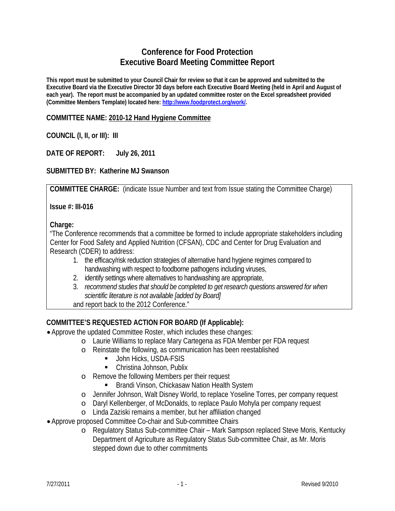# **Conference for Food Protection Executive Board Meeting Committee Report**

**This report must be submitted to your Council Chair for review so that it can be approved and submitted to the Executive Board via the Executive Director 30 days before each Executive Board Meeting (held in April and August of each year). The report must be accompanied by an updated committee roster on the Excel spreadsheet provided (Committee Members Template) located here: http://www.foodprotect.org/work/.** 

### **COMMITTEE NAME: 2010-12 Hand Hygiene Committee**

### **COUNCIL (I, II, or III): III**

### **DATE OF REPORT: July 26, 2011**

### **SUBMITTED BY: Katherine MJ Swanson**

**COMMITTEE CHARGE:** (indicate Issue Number and text from Issue stating the Committee Charge)

**Issue #: III-016** 

#### **Charge:**

"The Conference recommends that a committee be formed to include appropriate stakeholders including Center for Food Safety and Applied Nutrition (CFSAN), CDC and Center for Drug Evaluation and Research (CDER) to address:

- 1. the efficacy/risk reduction strategies of alternative hand hygiene regimes compared to handwashing with respect to foodborne pathogens including viruses,
- 2. identify settings where alternatives to handwashing are appropriate,
- 3. *recommend studies that should be completed to get research questions answered for when scientific literature is not available [added by Board]*
- and report back to the 2012 Conference."

### **COMMITTEE'S REQUESTED ACTION FOR BOARD (If Applicable):**

- Approve the updated Committee Roster, which includes these changes:
	- o Laurie Williams to replace Mary Cartegena as FDA Member per FDA request
	- o Reinstate the following, as communication has been reestablished
		- **John Hicks, USDA-FSIS**
		- Christina Johnson, Publix
	- o Remove the following Members per their request
		- **Brandi Vinson, Chickasaw Nation Health System**
	- o Jennifer Johnson, Walt Disney World, to replace Yoseline Torres, per company request
	- o Daryl Kellenberger, of McDonalds, to replace Paulo Mohyla per company request
	- o Linda Zaziski remains a member, but her affiliation changed
- Approve proposed Committee Co-chair and Sub-committee Chairs
	- o Regulatory Status Sub-committee Chair Mark Sampson replaced Steve Moris, Kentucky Department of Agriculture as Regulatory Status Sub-committee Chair, as Mr. Moris stepped down due to other commitments